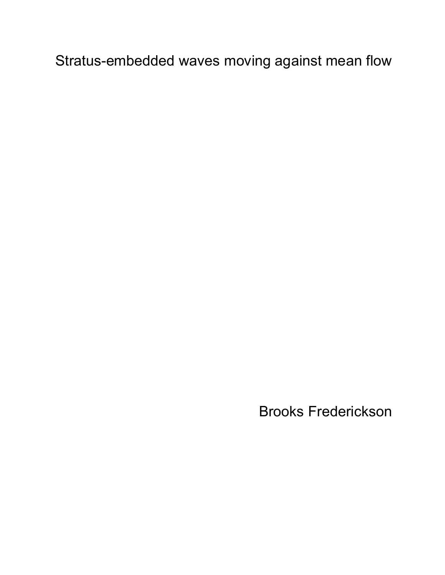Stratus-embedded waves moving against mean flow

Brooks Frederickson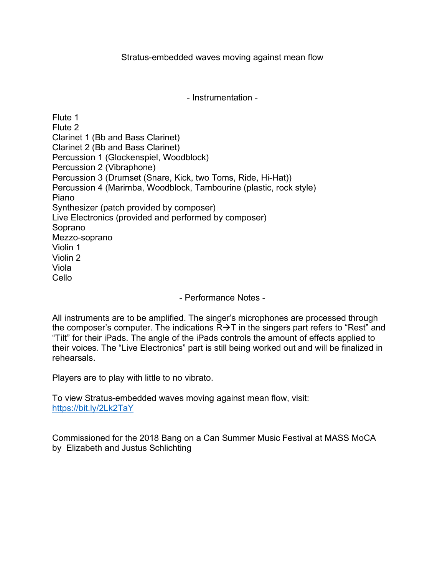Stratus-embedded waves moving against mean flow

- Instrumentation -

Flute 1 Flute 2 Clarinet 1 (Bb and Bass Clarinet) Clarinet 2 (Bb and Bass Clarinet) Percussion 1 (Glockenspiel, Woodblock) Percussion 2 (Vibraphone) Percussion 3 (Drumset (Snare, Kick, two Toms, Ride, Hi-Hat)) Percussion 4 (Marimba, Woodblock, Tambourine (plastic, rock style) Piano Synthesizer (patch provided by composer) Live Electronics (provided and performed by composer) Soprano Mezzo-soprano Violin 1 Violin 2 Viola Cello

- Performance Notes -

All instruments are to be amplified. The singer's microphones are processed through the composer's computer. The indications  $R\rightarrow\overline{T}$  in the singers part refers to "Rest" and "Tilt" for their iPads. The angle of the iPads controls the amount of effects applied to their voices. The "Live Electronics" part is still being worked out and will be finalized in rehearsals.

Players are to play with little to no vibrato.

To view Stratus-embedded waves moving against mean flow, visit: https://bit.ly/2Lk2TaY

Commissioned for the 2018 Bang on a Can Summer Music Festival at MASS MoCA by Elizabeth and Justus Schlichting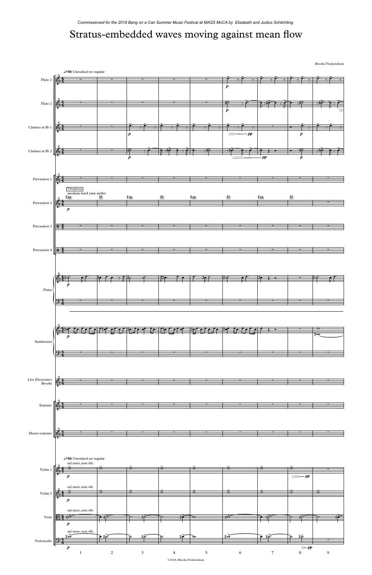©2018, Brooks Frederickson

## Stratus-embedded waves moving against mean flow



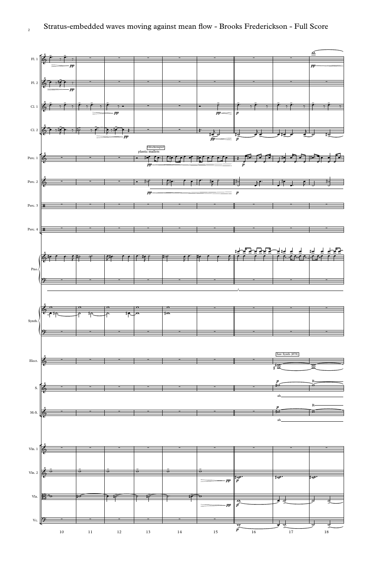



## Stratus-embedded waves moving against mean flow - Brooks Frederickson - Full Score <sup>2</sup>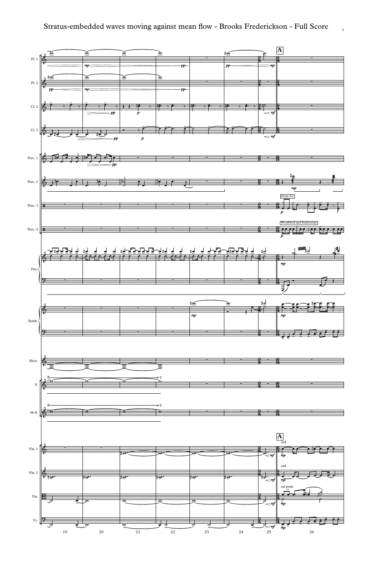

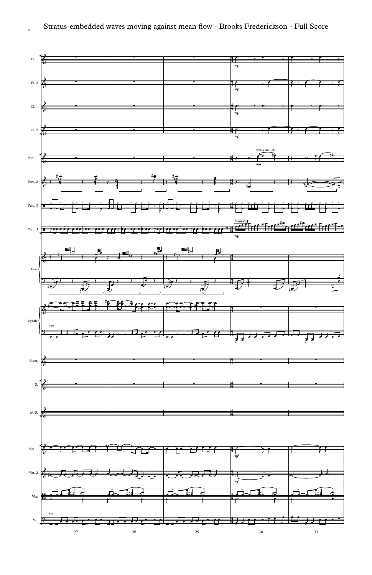

 $\overline{a}$ 

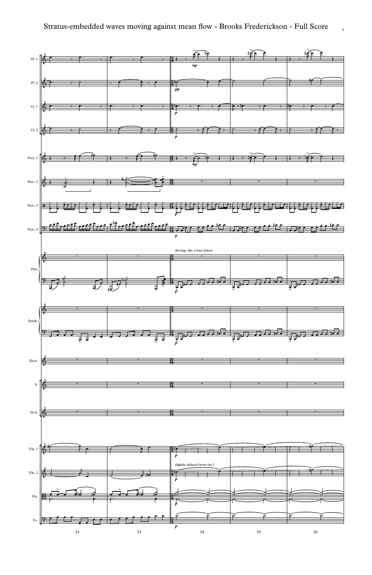

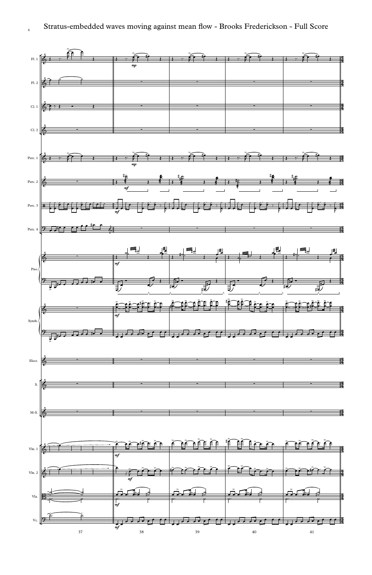

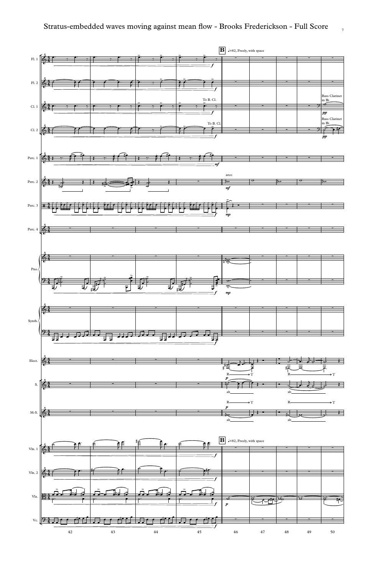

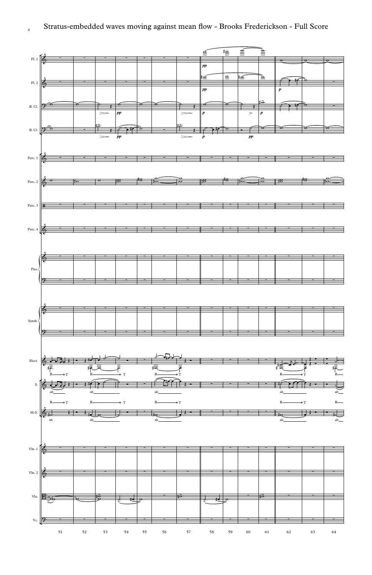



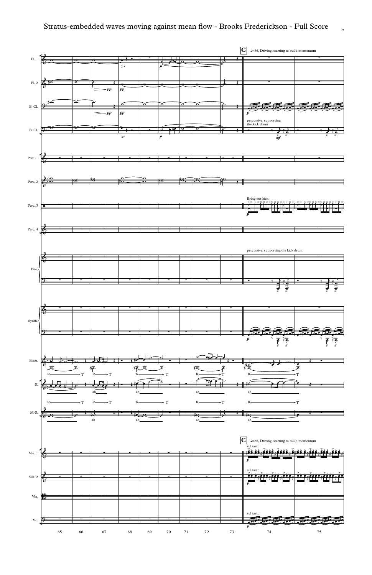

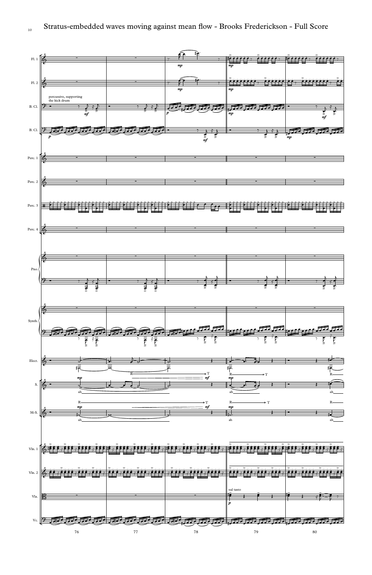

 $S$ tratus-embedded waves moving against mean flow - Brooks Frederickson - Full Score

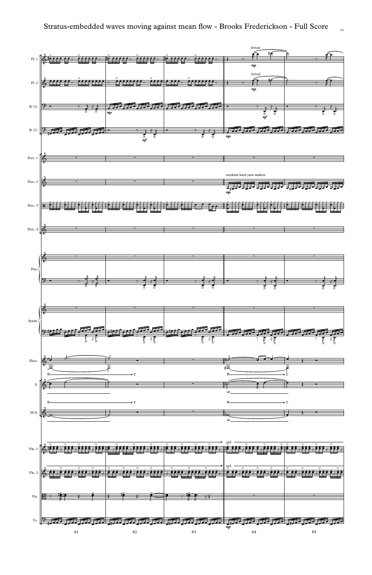

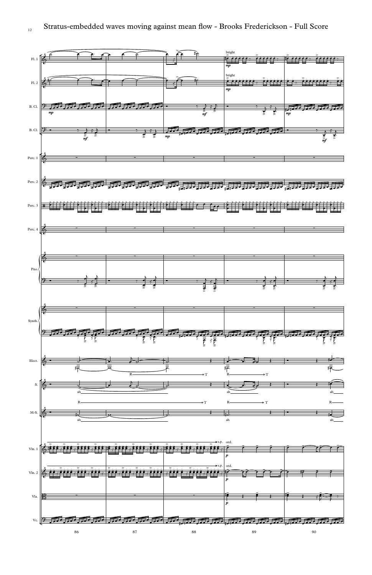

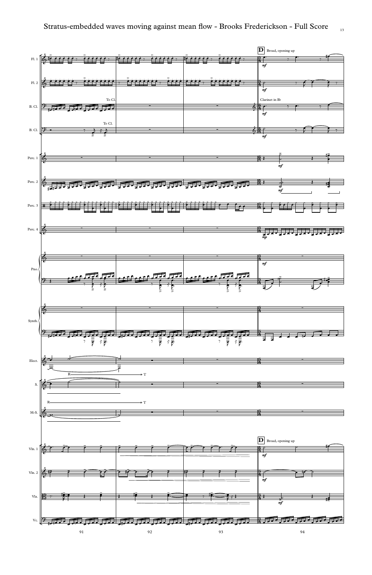

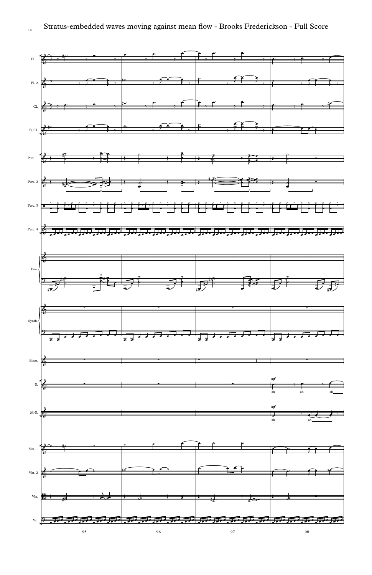



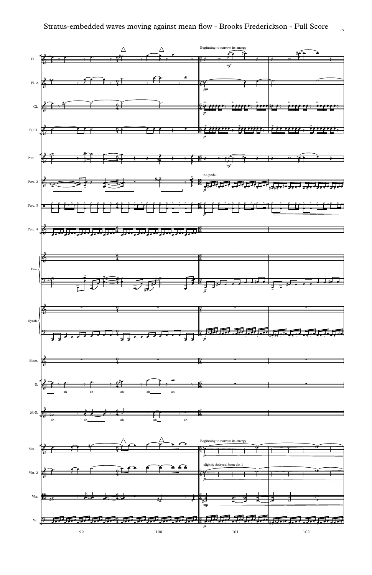

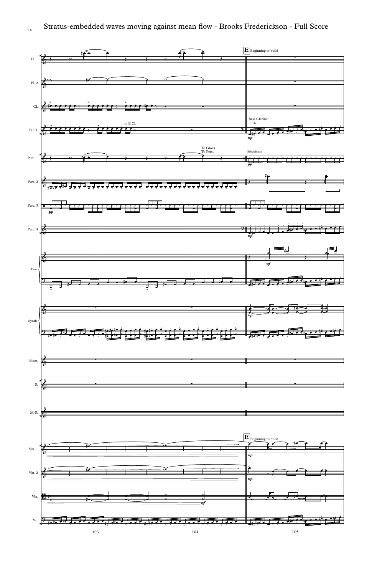

Stratus-embedded waves moving against mean flow - Brooks Frederickson - Full Score

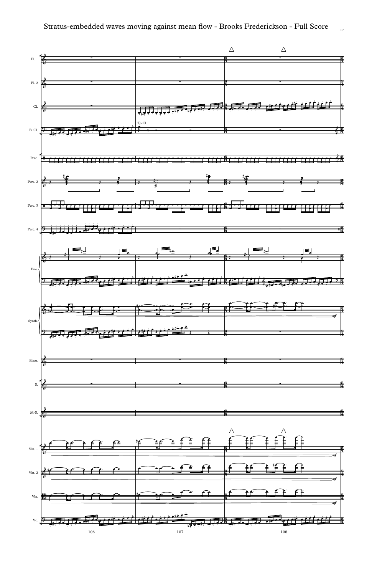

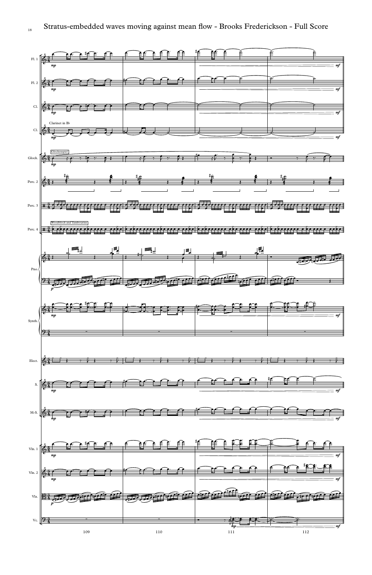

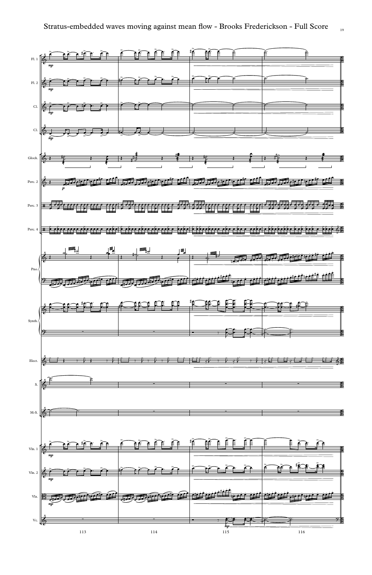